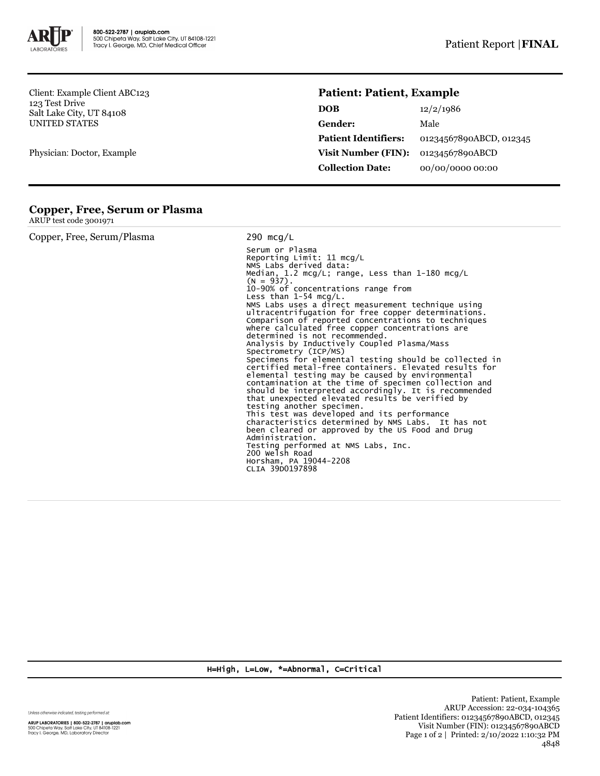

Client: Example Client ABC123 123 Test Drive Salt Lake City, UT 84108 UNITED STATES

Physician: Doctor, Example

## **Patient: Patient, Example**

| <b>DOB</b>                  | 12/2/1986               |
|-----------------------------|-------------------------|
| Gender:                     | Male                    |
| <b>Patient Identifiers:</b> | 01234567890ABCD, 012345 |
| Visit Number (FIN):         | 01234567890ABCD         |
| <b>Collection Date:</b>     | 00/00/0000 00:00        |

## **Copper, Free, Serum or Plasma**

ARUP test code 3001971

| Copper, Free, Serum/Plasma | 290 mcg/L                                                                                                                                                                                                                                                                                                                                                                                                                                                                                                                                                                                                                                                                                                                                                                                                                                                                                                                                                                                                                                                                                                                                         |  |  |
|----------------------------|---------------------------------------------------------------------------------------------------------------------------------------------------------------------------------------------------------------------------------------------------------------------------------------------------------------------------------------------------------------------------------------------------------------------------------------------------------------------------------------------------------------------------------------------------------------------------------------------------------------------------------------------------------------------------------------------------------------------------------------------------------------------------------------------------------------------------------------------------------------------------------------------------------------------------------------------------------------------------------------------------------------------------------------------------------------------------------------------------------------------------------------------------|--|--|
|                            | Serum or Plasma<br>Reporting Limit: $11 \text{ mcq/L}$<br>NMS Labs derived data:<br>Median, 1.2 mcg/L; range, Less than 1-180 mcg/L<br>$(N = 937)$ .<br>10-90% of concentrations range from<br>Less than $1-54$ mcg/L.<br>NMS Labs uses a direct measurement technique using<br>ultracentrifugation for free copper determinations.<br>Comparison of reported concentrations to techniques<br>where calculated free copper concentrations are<br>determined is not recommended.<br>Analysis by Inductively Coupled Plasma/Mass<br>Spectrometry (ICP/MS)<br>Specimens for elemental testing should be collected in<br>certified metal-free containers. Elevated results for<br>elemental testing may be caused by environmental<br>contamination at the time of specimen collection and<br>should be interpreted accordingly. It is recommended<br>that unexpected elevated results be verified by<br>testing another specimen.<br>This test was developed and its performance<br>characteristics determined by NMS Labs. It has not<br>been cleared or approved by the US Food and Drug<br>Administration.<br>Testing performed at NMS Labs, Inc. |  |  |
|                            | 200 Welsh Road<br>Horsham, PA 19044-2208<br>CLIA 39D0197898                                                                                                                                                                                                                                                                                                                                                                                                                                                                                                                                                                                                                                                                                                                                                                                                                                                                                                                                                                                                                                                                                       |  |  |

H=High, L=Low, \*=Abnormal, C=Critical

Unless otherwise indicated, testing performed at:

**ARUP LABORATORIES | 800-522-2787 | aruplab.com**<br>500 Chipeta Way, Salt Lake City, UT 84108-1221<br>Tracy I. George, MD, Laboratory Director